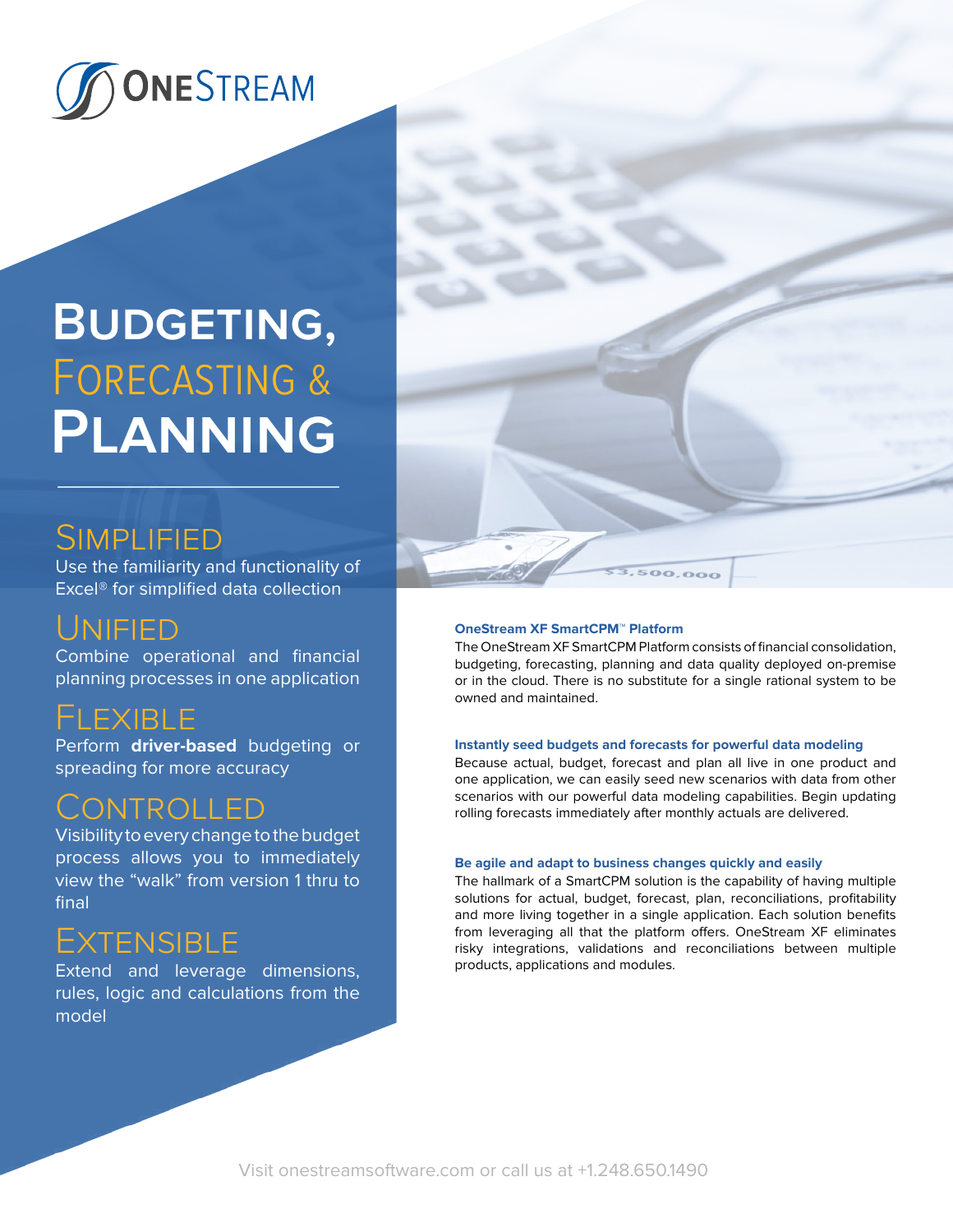

## **Budgeting, Planning** Forecasting &

## **SIMPLIFIED**

Use the familiarity and functionality of Excel® for simplified data collection

## **UNIFIED**

Combine operational and financial planning processes in one application

## Flexible

Perform **driver-based** budgeting or spreading for more accuracy

## **CONTROLLED**

Visibility to every change to the budget process allows you to immediately view the "walk" from version 1 thru to final

## **EXTENSIBLE**

Extend and leverage dimensions, rules, logic and calculations from the model

#### **OneStream XF SmartCPM™ Platform**

The OneStream XF SmartCPM Platform consists of financial consolidation, budgeting, forecasting, planning and data quality deployed on-premise or in the cloud. There is no substitute for a single rational system to be owned and maintained.

#### **Instantly seed budgets and forecasts for powerful data modeling**

Because actual, budget, forecast and plan all live in one product and one application, we can easily seed new scenarios with data from other scenarios with our powerful data modeling capabilities. Begin updating rolling forecasts immediately after monthly actuals are delivered.

#### **Be agile and adapt to business changes quickly and easily**

The hallmark of a SmartCPM solution is the capability of having multiple solutions for actual, budget, forecast, plan, reconciliations, profitability and more living together in a single application. Each solution benefits from leveraging all that the platform offers. OneStream XF eliminates risky integrations, validations and reconciliations between multiple products, applications and modules.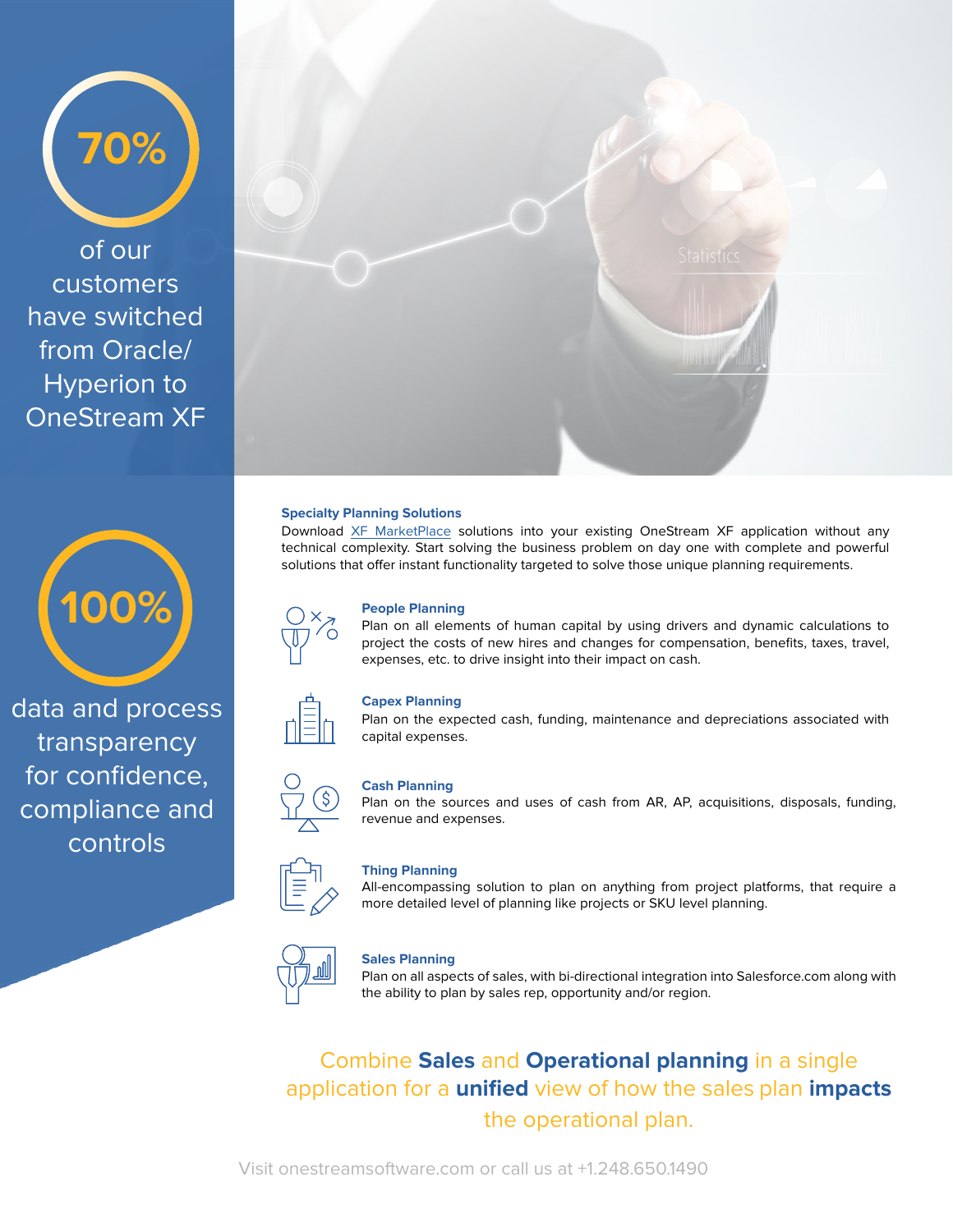

of our customers have switched from Oracle/ Hyperion to OneStream XF



data and process transparency for confidence, compliance and controls



#### **Specialty Planning Solutions**

Download [XF MarketPlace](https://onestreamsoftware.com/xf-marketplace/) solutions into your existing OneStream XF application without any technical complexity. Start solving the business problem on day one with complete and powerful solutions that offer instant functionality targeted to solve those unique planning requirements.



#### **People Planning**

Plan on all elements of human capital by using drivers and dynamic calculations to project the costs of new hires and changes for compensation, benefits, taxes, travel, expenses, etc. to drive insight into their impact on cash.



#### **Capex Planning**

Plan on the expected cash, funding, maintenance and depreciations associated with capital expenses.



#### **Cash Planning**

Plan on the sources and uses of cash from AR, AP, acquisitions, disposals, funding, revenue and expenses.



#### **Thing Planning**

All-encompassing solution to plan on anything from project platforms, that require a more detailed level of planning like projects or SKU level planning.



#### **Sales Planning**

Plan on all aspects of sales, with bi-directional integration into Salesforce.com along with the ability to plan by sales rep, opportunity and/or region.

Combine **Sales** and **Operational planning** in a single application for a **unified** view of how the sales plan **impacts**  the operational plan.